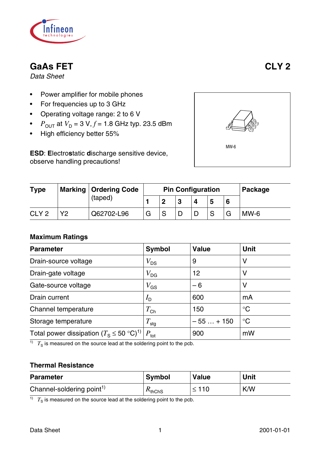

# **GaAs FET CLY 2**

*Data Sheet*

- Power amplifier for mobile phones
- For frequencies up to 3 GHz
- Operating voltage range: 2 to 6 V
- *P*<sub>OUT</sub> at  $V_D = 3 V$ ,  $f = 1.8$  GHz typ. 23.5 dBm
- High efficiency better 55%

**ESD**: **E**lectro**s**tatic **d**ischarge sensitive device, observe handling precautions!



| <b>Type</b>      |         | <b>Marking   Ordering Code</b> |   |   | <b>Pin Configuration</b> |   |  | Package |
|------------------|---------|--------------------------------|---|---|--------------------------|---|--|---------|
|                  | (taped) |                                |   |   | 5                        | 6 |  |         |
| CLY <sub>2</sub> | V2      | Q62702-L96                     | G | S |                          |   |  | $MW-6$  |

#### **Maximum Ratings**

| <b>Parameter</b>                                     | <b>Symbol</b>                   | <b>Value</b> | <b>Unit</b>     |
|------------------------------------------------------|---------------------------------|--------------|-----------------|
| Drain-source voltage                                 | $V_{DS}$                        | 9            | V               |
| Drain-gate voltage                                   | $V_{\textsf{DG}}$               | 12           | V               |
| Gate-source voltage                                  | $V_{GS}$                        | $-6$         | V               |
| Drain current                                        | $I_{\sf D}$                     | 600          | mA              |
| Channel temperature                                  | $T_{\mathsf{Ch}}$               | 150          | $\rm ^{\circ}C$ |
| Storage temperature                                  | $T_{\sf stg}$                   | $-55+150$    | $\rm ^{\circ}C$ |
| Total power dissipation $(T_S \le 50 \degree C)^{1}$ | $\lq \mathsf{P}_{\mathsf{tot}}$ | 900          | mW              |

 $\overline{1}$   $T_S$  is measured on the source lead at the soldering point to the pcb.

#### **Thermal Resistance**

| <b>Parameter</b>                      | <b>Symbol</b> | <b>Value</b> | Unit |
|---------------------------------------|---------------|--------------|------|
| Channel-soldering point <sup>1)</sup> | $K_{thChS}$   | $\leq 110$   | K/W  |

 $\overline{1}$   $T_S$  is measured on the source lead at the soldering point to the pcb.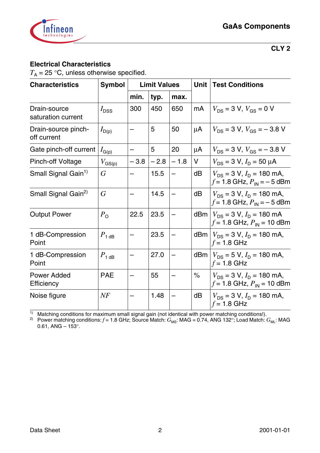

#### **Electrical Characteristics**

 $T_A = 25$  °C, unless otherwise specified.

| <b>Characteristics</b>             | <b>Symbol</b>                                      |        | <b>Limit Values</b> |        | Unit | <b>Test Conditions</b>                                                  |
|------------------------------------|----------------------------------------------------|--------|---------------------|--------|------|-------------------------------------------------------------------------|
|                                    |                                                    | min.   | typ.                | max.   |      |                                                                         |
| Drain-source<br>saturation current | $I_{\text{DSS}}$                                   | 300    | 450                 | 650    | mA   | $V_{DS}$ = 3 V, $V_{GS}$ = 0 V                                          |
| Drain-source pinch-<br>off current | $I_{D(p)}$                                         |        | 5                   | 50     | μA   | $V_{DS}$ = 3 V, $V_{GS}$ = -3.8 V                                       |
| Gate pinch-off current             | $I_{\text{G}(\underline{\underline{\mathsf{p}}})}$ |        | 5                   | 20     | μA   | $V_{DS}$ = 3 V, $V_{GS}$ = -3.8 V                                       |
| <b>Pinch-off Voltage</b>           | $V_{\text{GS(p)}}$                                 | $-3.8$ | $-2.8$              | $-1.8$ | V    | $V_{DS}$ = 3 V, $I_D$ = 50 $\mu$ A                                      |
| Small Signal Gain <sup>1)</sup>    | G                                                  |        | 15.5                |        | dB   | $V_{DS}$ = 3 V, $I_D$ = 180 mA,<br>$f = 1.8$ GHz, $P_{IN} = -5$ dBm     |
| Small Signal Gain <sup>2)</sup>    | $\overline{G}$                                     |        | 14.5                |        | dB   | $V_{DS}$ = 3 V, $I_D$ = 180 mA,<br>$f = 1.8$ GHz, $P_{IN} = -5$ dBm     |
| <b>Output Power</b>                | $P_{\rm O}$                                        | 22.5   | 23.5                |        |      | dBm $ V_{DS}$ = 3 V, $I_D$ = 180 mA<br>$f = 1.8$ GHz, $P_{IN} = 10$ dBm |
| 1 dB-Compression<br>Point          | $P_{1 \text{ dB}}$                                 |        | 23.5                |        |      | dBm $ V_{DS}$ = 3 V, $I_D$ = 180 mA,<br>$f = 1.8$ GHz                   |
| 1 dB-Compression<br>Point          | $P_{1 \text{ dB}}$                                 |        | 27.0                |        |      | dBm $ V_{DS} = 5 V$ , $I_D = 180$ mA,<br>$f = 1.8$ GHz                  |
| <b>Power Added</b><br>Efficiency   | <b>PAE</b>                                         |        | 55                  |        | $\%$ | $V_{DS}$ = 3 V, $I_D$ = 180 mA,<br>$f = 1.8$ GHz, $P_{IN} = 10$ dBm     |
| Noise figure                       | NF                                                 |        | 1.48                |        | dB   | $V_{DS}$ = 3 V, $I_D$ = 180 mA,<br>$f = 1.8$ GHz                        |

 $1)$  Matching conditions for maximum small signal gain (not identical with power matching conditions!).

 $^{2)}$  Power matching conditions:  $f$  = 1.8 GHz; Source Match:  $G_{\rm MS}$ : MAG = 0.74, ANG 132°; Load Match:  $G_{\rm ML}$ : MAG 0.61, ANG –  $153^{\circ}$ .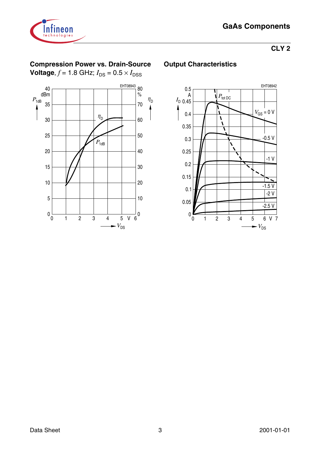



## **Compression Power vs. Drain-Source**

**Voltage**,  $f = 1.8$  GHz;  $I_{DS} = 0.5 \times I_{DSS}$ 



### **Output Characteristics**

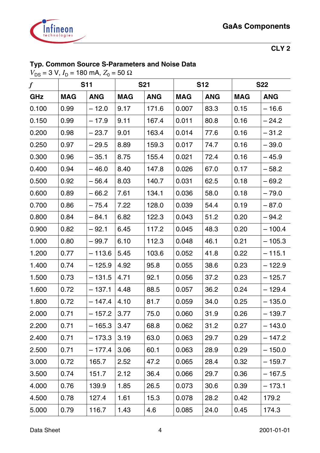

## **Typ. Common Source S-Parameters and Noise Data**

 $V_{DS}$  = 3 V,  $I_D$  = 180 mA,  $Z_0$  = 50 Ω

| $\boldsymbol{f}$ |            | <b>S11</b> |            | <b>S21</b> | <b>S12</b> |            | <b>S22</b> |            |
|------------------|------------|------------|------------|------------|------------|------------|------------|------------|
| GHz              | <b>MAG</b> | <b>ANG</b> | <b>MAG</b> | <b>ANG</b> | <b>MAG</b> | <b>ANG</b> | <b>MAG</b> | <b>ANG</b> |
| 0.100            | 0.99       | $-12.0$    | 9.17       | 171.6      | 0.007      | 83.3       | 0.15       | $-16.6$    |
| 0.150            | 0.99       | $-17.9$    | 9.11       | 167.4      | 0.011      | 80.8       | 0.16       | $-24.2$    |
| 0.200            | 0.98       | $-23.7$    | 9.01       | 163.4      | 0.014      | 77.6       | 0.16       | $-31.2$    |
| 0.250            | 0.97       | $-29.5$    | 8.89       | 159.3      | 0.017      | 74.7       | 0.16       | $-39.0$    |
| 0.300            | 0.96       | $-35.1$    | 8.75       | 155.4      | 0.021      | 72.4       | 0.16       | – 45.9     |
| 0.400            | 0.94       | $-46.0$    | 8.40       | 147.8      | 0.026      | 67.0       | 0.17       | $-58.2$    |
| 0.500            | 0.92       | $-56.4$    | 8.03       | 140.7      | 0.031      | 62.5       | 0.18       | $-69.2$    |
| 0.600            | 0.89       | $-66.2$    | 7.61       | 134.1      | 0.036      | 58.0       | 0.18       | $-79.0$    |
| 0.700            | 0.86       | $-75.4$    | 7.22       | 128.0      | 0.039      | 54.4       | 0.19       | $-87.0$    |
| 0.800            | 0.84       | $-84.1$    | 6.82       | 122.3      | 0.043      | 51.2       | 0.20       | $-94.2$    |
| 0.900            | 0.82       | $-92.1$    | 6.45       | 117.2      | 0.045      | 48.3       | 0.20       | $-100.4$   |
| 1.000            | 0.80       | $-99.7$    | 6.10       | 112.3      | 0.048      | 46.1       | 0.21       | $-105.3$   |
| 1.200            | 0.77       | $-113.6$   | 5.45       | 103.6      | 0.052      | 41.8       | 0.22       | $-115.1$   |
| 1.400            | 0.74       | $-125.9$   | 4.92       | 95.8       | 0.055      | 38.6       | 0.23       | $-122.9$   |
| 1.500            | 0.73       | $-131.5$   | 4.71       | 92.1       | 0.056      | 37.2       | 0.23       | $-125.7$   |
| 1.600            | 0.72       | $-137.1$   | 4.48       | 88.5       | 0.057      | 36.2       | 0.24       | $-129.4$   |
| 1.800            | 0.72       | $-147.4$   | 4.10       | 81.7       | 0.059      | 34.0       | 0.25       | $-135.0$   |
| 2.000            | 0.71       | $-157.2$   | 3.77       | 75.0       | 0.060      | 31.9       | 0.26       | – 139.7    |
| 2.200            | 0.71       | $-165.3$   | 3.47       | 68.8       | 0.062      | 31.2       | 0.27       | $-143.0$   |
| 2.400            | 0.71       | $-173.3$   | 3.19       | 63.0       | 0.063      | 29.7       | 0.29       | – 147.2    |
| 2.500            | 0.71       | $-177.4$   | 3.06       | 60.1       | 0.063      | 28.9       | 0.29       | $-150.0$   |
| 3.000            | 0.72       | 165.7      | 2.52       | 47.2       | 0.065      | 28.4       | 0.32       | $-159.7$   |
| 3.500            | 0.74       | 151.7      | 2.12       | 36.4       | 0.066      | 29.7       | 0.36       | $-167.5$   |
| 4.000            | 0.76       | 139.9      | 1.85       | 26.5       | 0.073      | 30.6       | 0.39       | $-173.1$   |
| 4.500            | 0.78       | 127.4      | 1.61       | 15.3       | 0.078      | 28.2       | 0.42       | 179.2      |
| 5.000            | 0.79       | 116.7      | 1.43       | 4.6        | 0.085      | 24.0       | 0.45       | 174.3      |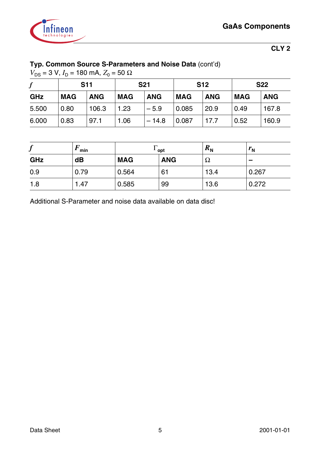

## **Typ. Common Source S-Parameters and Noise Data** (cont'd)

 $V_{DS}$  = 3 V,  $I_D$  = 180 mA,  $Z_0$  = 50 Ω

|       | <b>S11</b> |            | <b>S21</b> |            | <b>S12</b> |            | <b>S22</b> |            |
|-------|------------|------------|------------|------------|------------|------------|------------|------------|
| GHz   | <b>MAG</b> | <b>ANG</b> | <b>MAG</b> | <b>ANG</b> | <b>MAG</b> | <b>ANG</b> | <b>MAG</b> | <b>ANG</b> |
| 5.500 | 0.80       | 106.3      | 1.23       | $-5.9$     | 0.085      | 20.9       | 0.49       | 167.8      |
| 6.000 | 0.83       | 97.1       | 1.06       | $-14.8$    | 0.087      | 17.7       | 0.52       | 160.9      |

| £<br>J     | min  | opt        |            | $R_{N}$ | $r_{\rm N}$ |
|------------|------|------------|------------|---------|-------------|
| <b>GHz</b> | dB   | <b>MAG</b> | <b>ANG</b> | 73      |             |
| 0.9        | 0.79 | 0.564      | 61         | 13.4    | 0.267       |
| 1.8        | 1.47 | 0.585      | 99         | 13.6    | 0.272       |

Additional S-Parameter and noise data available on data disc!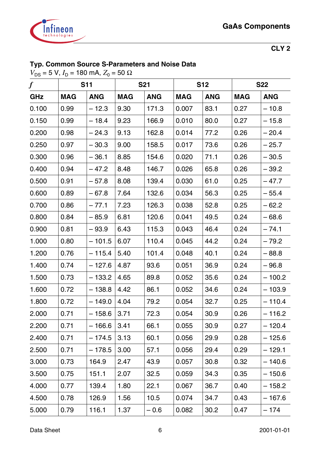

## **Typ. Common Source S-Parameters and Noise Data**

 $V_{DS}$  = 5 V, *I*<sub>D</sub> = 180 mA, *Z*<sub>0</sub> = 50 Ω

| $\boldsymbol{f}$ |            | <b>S11</b> |            | <b>S21</b> | <b>S12</b> |            | <b>S22</b> |            |
|------------------|------------|------------|------------|------------|------------|------------|------------|------------|
| GHz              | <b>MAG</b> | <b>ANG</b> | <b>MAG</b> | <b>ANG</b> | <b>MAG</b> | <b>ANG</b> | <b>MAG</b> | <b>ANG</b> |
| 0.100            | 0.99       | $-12.3$    | 9.30       | 171.3      | 0.007      | 83.1       | 0.27       | $-10.8$    |
| 0.150            | 0.99       | $-18.4$    | 9.23       | 166.9      | 0.010      | 80.0       | 0.27       | $-15.8$    |
| 0.200            | 0.98       | $-24.3$    | 9.13       | 162.8      | 0.014      | 77.2       | 0.26       | $-20.4$    |
| 0.250            | 0.97       | $-30.3$    | 9.00       | 158.5      | 0.017      | 73.6       | 0.26       | $-25.7$    |
| 0.300            | 0.96       | $-36.1$    | 8.85       | 154.6      | 0.020      | 71.1       | 0.26       | $-30.5$    |
| 0.400            | 0.94       | $-47.2$    | 8.48       | 146.7      | 0.026      | 65.8       | 0.26       | $-39.2$    |
| 0.500            | 0.91       | $-57.8$    | 8.08       | 139.4      | 0.030      | 61.0       | 0.25       | $-47.7$    |
| 0.600            | 0.89       | $-67.8$    | 7.64       | 132.6      | 0.034      | 56.3       | 0.25       | $-55.4$    |
| 0.700            | 0.86       | $-77.1$    | 7.23       | 126.3      | 0.038      | 52.8       | 0.25       | $-62.2$    |
| 0.800            | 0.84       | $-85.9$    | 6.81       | 120.6      | 0.041      | 49.5       | 0.24       | $-68.6$    |
| 0.900            | 0.81       | $-93.9$    | 6.43       | 115.3      | 0.043      | 46.4       | 0.24       | $-74.1$    |
| 1.000            | 0.80       | $-101.5$   | 6.07       | 110.4      | 0.045      | 44.2       | 0.24       | $-79.2$    |
| 1.200            | 0.76       | $-115.4$   | 5.40       | 101.4      | 0.048      | 40.1       | 0.24       | $-88.8$    |
| 1.400            | 0.74       | $-127.6$   | 4.87       | 93.6       | 0.051      | 36.9       | 0.24       | $-96.8$    |
| 1.500            | 0.73       | $-133.2$   | 4.65       | 89.8       | 0.052      | 35.6       | 0.24       | $-100.2$   |
| 1.600            | 0.72       | $-138.8$   | 4.42       | 86.1       | 0.052      | 34.6       | 0.24       | $-103.9$   |
| 1.800            | 0.72       | $-149.0$   | 4.04       | 79.2       | 0.054      | 32.7       | 0.25       | $-110.4$   |
| 2.000            | 0.71       | $-158.6$   | 3.71       | 72.3       | 0.054      | 30.9       | 0.26       | $-116.2$   |
| 2.200            | 0.71       | $-166.6$   | 3.41       | 66.1       | 0.055      | 30.9       | 0.27       | $-120.4$   |
| 2.400            | 0.71       | $-174.5$   | 3.13       | 60.1       | 0.056      | 29.9       | 0.28       | $-125.6$   |
| 2.500            | 0.71       | $-178.5$   | 3.00       | 57.1       | 0.056      | 29.4       | 0.29       | – 129.1    |
| 3.000            | 0.73       | 164.9      | 2.47       | 43.9       | 0.057      | 30.8       | 0.32       | – 140.6    |
| 3.500            | 0.75       | 151.1      | 2.07       | 32.5       | 0.059      | 34.3       | 0.35       | $-150.6$   |
| 4.000            | 0.77       | 139.4      | 1.80       | 22.1       | 0.067      | 36.7       | 0.40       | $-158.2$   |
| 4.500            | 0.78       | 126.9      | 1.56       | 10.5       | 0.074      | 34.7       | 0.43       | – 167.6    |
| 5.000            | 0.79       | 116.1      | 1.37       | $-0.6$     | 0.082      | 30.2       | 0.47       | – 174      |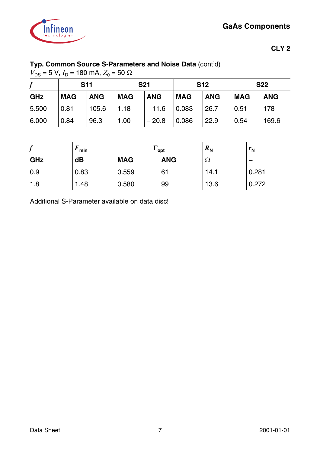

## **Typ. Common Source S-Parameters and Noise Data** (cont'd)

 $V_{DS}$  = 5 V,  $I_D$  = 180 mA,  $Z_0$  = 50 Ω

| .,    | <b>S11</b> |            | <b>S21</b> |            | <b>S12</b> |            | <b>S22</b> |            |
|-------|------------|------------|------------|------------|------------|------------|------------|------------|
| GHz   | <b>MAG</b> | <b>ANG</b> | <b>MAG</b> | <b>ANG</b> | <b>MAG</b> | <b>ANG</b> | <b>MAG</b> | <b>ANG</b> |
| 5.500 | 0.81       | 105.6      | 1.18       | $-11.6$    | 0.083      | 26.7       | 0.51       | 178        |
| 6.000 | 0.84       | 96.3       | 1.00       | $-20.8$    | 0.086      | 22.9       | 0.54       | 169.6      |

| J   | min  | opt        |            | $R_{N}$ | $r_{\rm N}$ |
|-----|------|------------|------------|---------|-------------|
| GHz | dB   | <b>MAG</b> | <b>ANG</b> | 77      |             |
| 0.9 | 0.83 | 0.559      | 61         | 14.1    | 0.281       |
| 1.8 | 1.48 | 0.580      | 99         | 13.6    | 0.272       |

Additional S-Parameter available on data disc!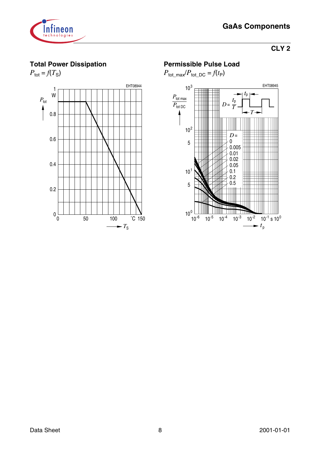

## **Total Power Dissipation**



### **Permissible Pulse Load**

 $P_{\text{tot\_max}}/P_{\text{tot\_DC}} = f(t_P)$